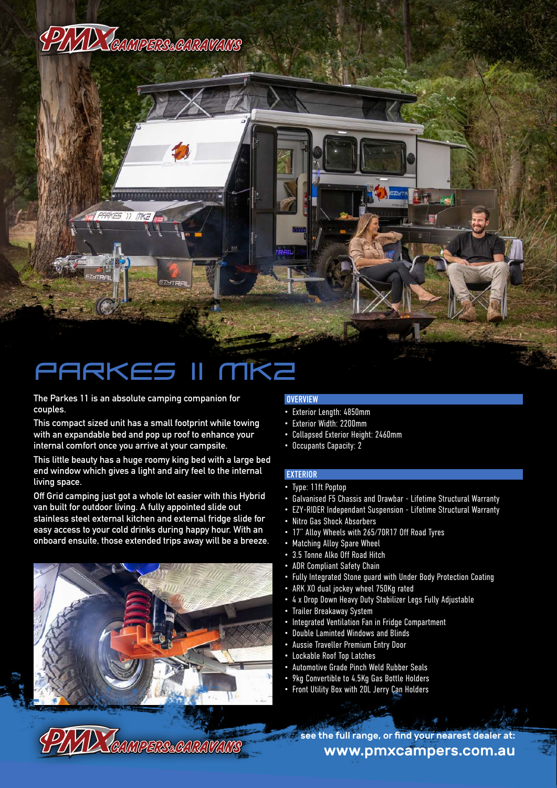

# PARKE

**The Parkes 11 is an absolute camping companion for couples.**

**This compact sized unit has a small footprint while towing with an expandable bed and pop up roof to enhance your internal comfort once you arrive at your campsite.**

**This little beauty has a huge roomy king bed with a large bed end window which gives a light and airy feel to the internal living space.** 

**Off Grid camping just got a whole lot easier with this Hybrid van built for outdoor living. A fully appointed slide out stainless steel external kitchen and external fridge slide for easy access to your cold drinks during happy hour. With an onboard ensuite, those extended trips away will be a breeze.**



## **OVERVIEW**

- Exterior Length: 4850mm
- Exterior Width: 2200mm
- Collapsed Exterior Height: 2460mm
- Occupants Capacity: 2

### **EXTERIOR**

- Type: 11ft Poptop
- Galvanised F5 Chassis and Drawbar Lifetime Structural Warranty
- EZY-RIDER Independant Suspension Lifetime Structural Warranty
- Nitro Gas Shock Absorbers
- 17" Alloy Wheels with 265/70R17 Off Road Tyres
- Matching Alloy Spare Wheel
- 3.5 Tonne Alko Off Road Hitch
- ADR Compliant Safety Chain
- Fully Integrated Stone guard with Under Body Protection Coating
- ARK XO dual jockey wheel 750Kg rated
- 4 x Drop Down Heavy Duty Stabilizer Legs Fully Adjustable
- Trailer Breakaway System
- Integrated Ventilation Fan in Fridge Compartment
- Double Laminted Windows and Blinds
- Aussie Traveller Premium Entry Door
- Lockable Roof Top Latches
- Automotive Grade Pinch Weld Rubber Seals
- 9kg Convertible to 4.5Kg Gas Bottle Holders
- Front Utility Box with 20L Jerry Can Holders

www.pmxcampers.com.au see the full range, or find your nearest dealer at: